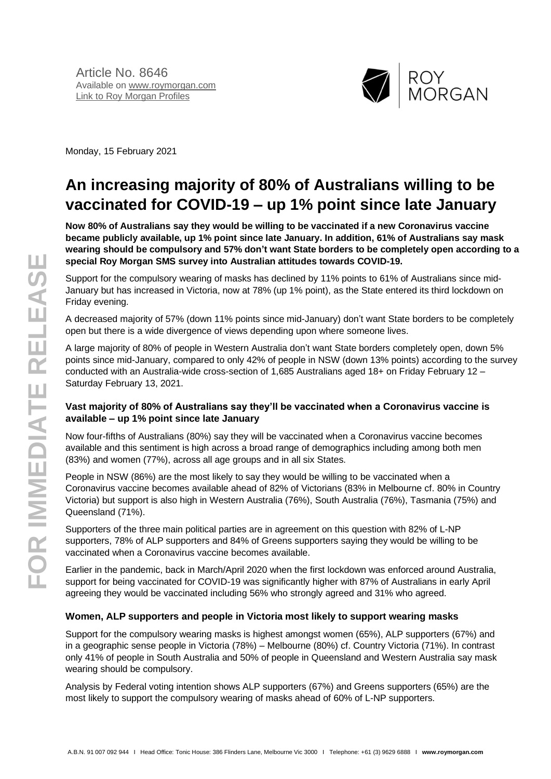

Monday, 15 February 2021

# **An increasing majority of 80% of Australians willing to be vaccinated for COVID-19 – up 1% point since late January**

**Now 80% of Australians say they would be willing to be vaccinated if a new Coronavirus vaccine became publicly available, up 1% point since late January. In addition, 61% of Australians say mask wearing should be compulsory and 57% don't want State borders to be completely open according to a special Roy Morgan SMS survey into Australian attitudes towards COVID-19.**

Support for the compulsory wearing of masks has declined by 11% points to 61% of Australians since mid-January but has increased in Victoria, now at 78% (up 1% point), as the State entered its third lockdown on Friday evening.

A decreased majority of 57% (down 11% points since mid-January) don't want State borders to be completely open but there is a wide divergence of views depending upon where someone lives.

A large majority of 80% of people in Western Australia don't want State borders completely open, down 5% points since mid-January, compared to only 42% of people in NSW (down 13% points) according to the survey conducted with an Australia-wide cross-section of 1,685 Australians aged 18+ on Friday February 12 – Saturday February 13, 2021.

#### **Vast majority of 80% of Australians say they'll be vaccinated when a Coronavirus vaccine is available – up 1% point since late January**

Now four-fifths of Australians (80%) say they will be vaccinated when a Coronavirus vaccine becomes available and this sentiment is high across a broad range of demographics including among both men (83%) and women (77%), across all age groups and in all six States.

People in NSW (86%) are the most likely to say they would be willing to be vaccinated when a Coronavirus vaccine becomes available ahead of 82% of Victorians (83% in Melbourne cf. 80% in Country Victoria) but support is also high in Western Australia (76%), South Australia (76%), Tasmania (75%) and Queensland (71%).

Supporters of the three main political parties are in agreement on this question with 82% of L-NP supporters, 78% of ALP supporters and 84% of Greens supporters saying they would be willing to be vaccinated when a Coronavirus vaccine becomes available.

Earlier in the pandemic, back in March/April 2020 when the first lockdown was enforced around Australia, support for being vaccinated for COVID-19 was significantly higher with 87% of Australians in early April agreeing they would be vaccinated including 56% who strongly agreed and 31% who agreed.

## **Women, ALP supporters and people in Victoria most likely to support wearing masks**

Support for the compulsory wearing masks is highest amongst women (65%), ALP supporters (67%) and in a geographic sense people in Victoria (78%) – Melbourne (80%) cf. Country Victoria (71%). In contrast only 41% of people in South Australia and 50% of people in Queensland and Western Australia say mask wearing should be compulsory.

Analysis by Federal voting intention shows ALP supporters (67%) and Greens supporters (65%) are the most likely to support the compulsory wearing of masks ahead of 60% of L-NP supporters.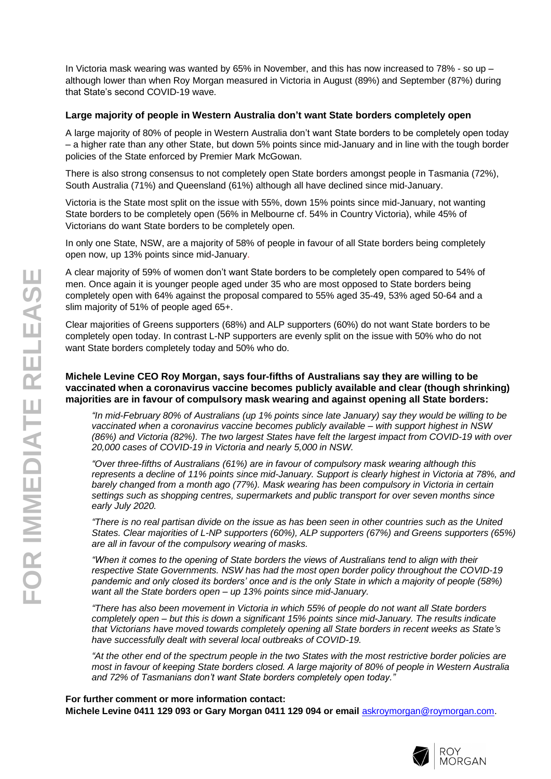In Victoria mask wearing was wanted by 65% in November, and this has now increased to 78% - so up although lower than when Roy Morgan measured in Victoria in August (89%) and September (87%) during that State's second COVID -19 wave.

#### Large majority of people in Western Australia don't want State borders completely open

A large majority of 8 0% of people in Western Australia don't want State borders to be completely open today – a higher rate than any other State, but down 5% points since mid -January and in line with the tough border policies of the State enforced by Premier Mark McGowan.

There is also strong consensus to not completely open State borders amongst people in Tasmania (7 2%), South Australia (7 1%) and Queensland (61%) although all have declined since mid -January .

Victoria is the State most split on the issue with 55%, down 15% points since mid -January , not wanting State borders to be completely open (56% in Melbourne cf. 54% in Country Victoria) , while 45% of Victorians do want State borders to be completely open.

In only one State, NSW, are a majority of 58% of people in favour of all State borders being completely open now, up 13% points since mid -January.

A clear majority of 59 % of women don't want State borders to be completely open compared to 5 4% of men. Once again it is younger people aged under 35 who are most opposed to State borders being completely open with 64% against the proposal compared to 55% aged 35-49, 53% aged 50-64 and a slim majority of 51% of people aged 65+.

Clear majorities of Greens supporters ( 6 8%) and ALP supporters (60%) do not want State borders to be completely open today . In contrast L -NP supporters are evenly split on the issue with 50% who do not want State borders completely today and 50% who do.

#### **Michele Levine CEO Roy Morgan , say s four -fifths of Australians say they are willing to be vaccinated when a coronavirus vaccine becomes publicly available and clear (though shrinking) majorities are in favour of compulsory mask wearing and against opening all State borders:**

*"In mid-February 80% of Australians (up 1% points since late January) say they would be willing to be vaccinated when a coronavirus vaccine becomes publicly available – with support highest in NSW (86%) and Victoria (82%) . The two largest States have felt the largest impact from COVID -19 with over 20,000 cases of COVID -19 in Victoria and nearly 5,000 in NSW.*

*" Over three -fifths of Australians (61%) are in favour of compulsory mask wearing although this represents a decline of 11% points since mid-January. Support is clearly highest in Victoria at 78%, and barely changed from a month ago (77%). Mask wearing has been compulsory in Victoria in certain settings such as shopping centres, supermarkets and public transport for over seven months since early July 2020.*

*"There is no real partisan divide on the issue as has been seen in other countries such as the United States. Clear majorities of L -NP supporters (60%), ALP supporters (6 7%) and Greens supporters (65%) are all in favour of the compulsory wearing of masks.*

*"When it comes to the opening of State borders the views of Australians tend to align with their respective State Governments. NSW has had the most open border policy throughout the COVID -19 pandemic and only closed its borders' once and is the only State in which a majority of people (5 8 %) want all the State borders open – up 13% points since mid-January.*

*"There has also been movement in Victoria in which 55% of people do not want all State borders completely open – but this is down a significant 15% points since mid-January. The results indicate that Victorians have moved towards completely opening all State borders in recent weeks as State 's have successfully dealt with several local outbreaks of COVID -19.*

*"At the other end of the spectrum people in the two States with the most restrictive border policies are most in favour of keeping State borders closed. A large majority of 8 0% of people in Western Australia and 72% of Tasmanians don't want State borders completely open today. "*

**For further comment or more information contact: Michele Levine 0411 129 093 or Gary Morgan 0411 129 094 or email** [askroymorgan@roymorgan.com](mailto:askroymorgan@roymorgan.com) .

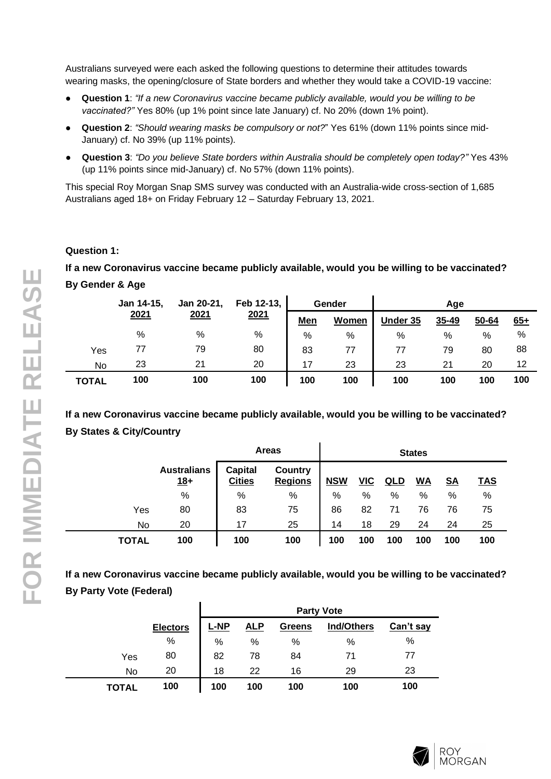Australians surveyed were each asked the following questions to determine their attitudes towards wearing masks, the opening/closure of State borders and whether they would take a COVID-19 vaccine:

- **Question 1**: *"If a new Coronavirus vaccine became publicly available, would you be willing to be vaccinated?"* Yes 80% (up 1% point since late January) cf. No 20% (down 1% point).
- **Question 2**: *"Should wearing masks be compulsory or not?*" Yes 61% (down 11% points since mid-January) cf. No 39% (up 11% points).
- **Question 3**: *"Do you believe State borders within Australia should be completely open today?"* Yes 43% (up 11% points since mid-January) cf. No 57% (down 11% points).

This special Roy Morgan Snap SMS survey was conducted with an Australia-wide cross-section of 1,685 Australians aged 18+ on Friday February 12 – Saturday February 13, 2021.

#### **Question 1:**

**If a new Coronavirus vaccine became publicly available, would you be willing to be vaccinated?**

## **By Gender & Age**

|              | Jan 14-15, | Jan 20-21, | Feb 12-13,<br>Gender<br>Aae |            |       |          |       |       |       |
|--------------|------------|------------|-----------------------------|------------|-------|----------|-------|-------|-------|
|              | 2021       | 2021       | 2021                        | <u>Men</u> | Women | Under 35 | 35-49 | 50-64 | $65+$ |
|              | %          | %          | $\%$                        | %          | %     | %        | %     | $\%$  | %     |
| Yes          | 77         | 79         | 80                          | 83         | 77    | 77       | 79    | 80    | 88    |
| No           | 23         | 21         | 20                          | 17         | 23    | 23       | 21    | 20    | 12    |
| <b>TOTAL</b> | 100        | 100        | 100                         | 100        | 100   | 100      | 100   | 100   | 100   |

**If a new Coronavirus vaccine became publicly available, would you be willing to be vaccinated? By States & City/Country**

|       |                             |                                 | <b>Areas</b>                     |            |            | <b>States</b> |           |           |            |  |  |
|-------|-----------------------------|---------------------------------|----------------------------------|------------|------------|---------------|-----------|-----------|------------|--|--|
|       | <b>Australians</b><br>$18+$ | <b>Capital</b><br><b>Cities</b> | <b>Country</b><br><b>Regions</b> | <b>NSW</b> | <u>VIC</u> | <u>QLD</u>    | <u>WA</u> | <u>SA</u> | <u>TAS</u> |  |  |
|       | %                           | %                               | %                                | %          | %          | %             | %         | %         | %          |  |  |
| Yes   | 80                          | 83                              | 75                               | 86         | 82         | 71            | 76        | 76        | 75         |  |  |
| No    | 20                          | 17                              | 25                               | 14         | 18         | 29            | 24        | 24        | 25         |  |  |
| TOTAL | 100                         | 100                             | 100                              | 100        | 100        | 100           | 100       | 100       | 100        |  |  |

## **If a new Coronavirus vaccine became publicly available, would you be willing to be vaccinated? By Party Vote (Federal)**

|       |                 |             |            | <b>Party Vote</b> |                   |           |
|-------|-----------------|-------------|------------|-------------------|-------------------|-----------|
|       | <b>Electors</b> | <b>L-NP</b> | <u>ALP</u> | <b>Greens</b>     | <b>Ind/Others</b> | Can't say |
|       | $\%$            | %           | %          | %                 | %                 | %         |
| Yes   | 80              | 82          | 78         | 84                | 71                | 77        |
| No    | 20              | 18          | 22         | 16                | 29                | 23        |
| TOTAL | 100             | 100         | 100        | 100               | 100               | 100       |



 $\overline{a}$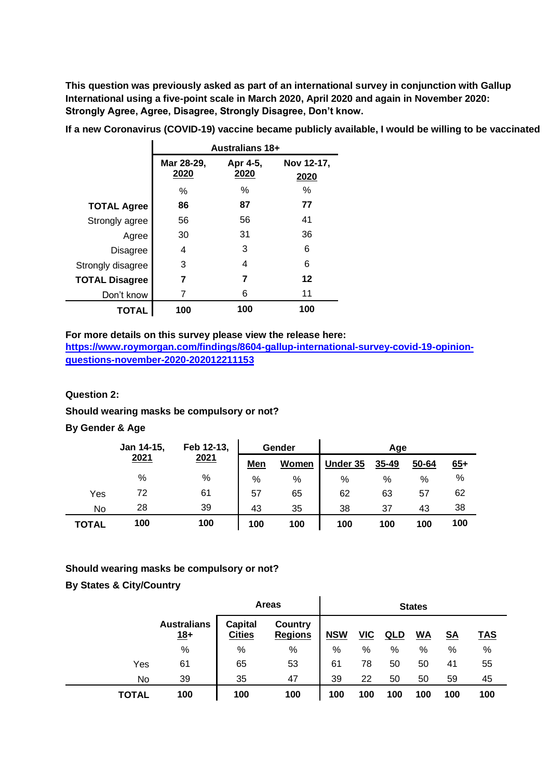**This question was previously asked as part of an international survey in conjunction with Gallup International using a five-point scale in March 2020, April 2020 and again in November 2020: Strongly Agree, Agree, Disagree, Strongly Disagree, Don't know.**

|                       |                    | <b>Australians 18+</b> |                    |
|-----------------------|--------------------|------------------------|--------------------|
|                       | Mar 28-29,<br>2020 | Apr 4-5,<br>2020       | Nov 12-17,<br>2020 |
|                       | $\%$               | ℅                      | ℅                  |
| <b>TOTAL Agree</b>    | 86                 | 87                     | 77                 |
| Strongly agree        | 56                 | 56                     | 41                 |
| Agree                 | 30                 | 31                     | 36                 |
| <b>Disagree</b>       | 4                  | 3                      | 6                  |
| Strongly disagree     | 3                  | 4                      | 6                  |
| <b>TOTAL Disagree</b> | 7                  | 7                      | 12                 |
| Don't know            | 7                  | 6                      | 11                 |
| TOTAL                 | 100                | 100                    | 100                |

**If a new Coronavirus (COVID-19) vaccine became publicly available, I would be willing to be vaccinated**

#### **For more details on this survey please view the release here:**

**[https://www.roymorgan.com/findings/8604-gallup-international-survey-covid-19-opinion](https://www.roymorgan.com/findings/8604-gallup-international-survey-covid-19-opinion-questions-november-2020-202012211153)[questions-november-2020-202012211153](https://www.roymorgan.com/findings/8604-gallup-international-survey-covid-19-opinion-questions-november-2020-202012211153)**

#### **Question 2:**

#### **Should wearing masks be compulsory or not?**

#### **By Gender & Age**

|              | Jan 14-15, | Feb 12-13, |            | Gender |          | Age   |       |       |  |
|--------------|------------|------------|------------|--------|----------|-------|-------|-------|--|
|              | 2021       | 2021       | <b>Men</b> | Women  | Under 35 | 35-49 | 50-64 | $65+$ |  |
|              | %          | %          | %          | %      | %        | %     | %     | %     |  |
| Yes          | 72         | 61         | 57         | 65     | 62       | 63    | 57    | 62    |  |
| No           | 28         | 39         | 43         | 35     | 38       | 37    | 43    | 38    |  |
| <b>TOTAL</b> | 100        | 100        | 100        | 100    | 100      | 100   | 100   | 100   |  |

#### **Should wearing masks be compulsory or not?**

## **By States & City/Country**

|              |                             |                                 | <b>Areas</b>              |            |       | <b>States</b> |           |           |            |  |  |
|--------------|-----------------------------|---------------------------------|---------------------------|------------|-------|---------------|-----------|-----------|------------|--|--|
|              | <b>Australians</b><br>$18+$ | <b>Capital</b><br><b>Cities</b> | Country<br><b>Regions</b> | <b>NSW</b> | $VIC$ | QLD           | <u>WA</u> | <u>SA</u> | <u>TAS</u> |  |  |
|              | $\%$                        | %                               | $\%$                      | %          | %     | %             | %         | %         | $\%$       |  |  |
| Yes          | 61                          | 65                              | 53                        | 61         | 78    | 50            | 50        | 41        | 55         |  |  |
| No           | 39                          | 35                              | 47                        | 39         | 22    | 50            | 50        | 59        | 45         |  |  |
| <b>TOTAL</b> | 100                         | 100                             | 100                       | 100        | 100   | 100           | 100       | 100       | 100        |  |  |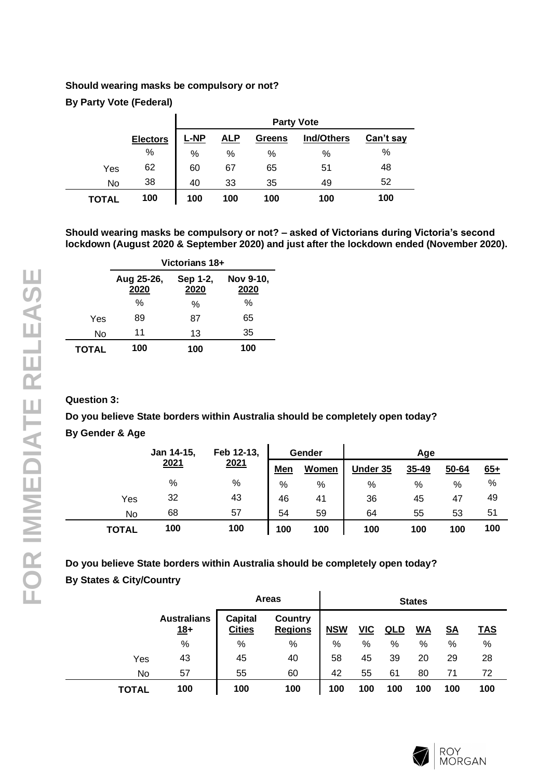## **Should wearing masks be compulsory or not?**

**By Party Vote (Federal)**

|              |                 |             |            |        | <b>Party Vote</b> |           |
|--------------|-----------------|-------------|------------|--------|-------------------|-----------|
|              | <b>Electors</b> | <u>L-NP</u> | <u>ALP</u> | Greens | Ind/Others        | Can't say |
|              | $\%$            | %           | %          | %      | %                 | %         |
| Yes          | 62              | 60          | 67         | 65     | 51                | 48        |
| No           | 38              | 40          | 33         | 35     | 49                | 52        |
| <b>TOTAL</b> | 100             | 100         | 100        | 100    | 100               | 100       |

**Should wearing masks be compulsory or not? – asked of Victorians during Victoria's second lockdown (August 2020 & September 2020) and just after the lockdown ended (November 2020).**

|              |                    | Victorians 18+                        |      |  |  |  |  |  |  |
|--------------|--------------------|---------------------------------------|------|--|--|--|--|--|--|
|              | Aug 25-26,<br>2020 | Nov 9-10,<br>Sep 1-2,<br>2020<br>2020 |      |  |  |  |  |  |  |
|              | %                  | $\%$                                  | $\%$ |  |  |  |  |  |  |
| Yes          | 89                 | 87                                    | 65   |  |  |  |  |  |  |
| No           | 11                 | 13                                    | 35   |  |  |  |  |  |  |
| <b>TOTAL</b> | 100                | 100                                   | 100  |  |  |  |  |  |  |

## **Question 3:**

**Do you believe State borders within Australia should be completely open today?**

## **By Gender & Age**

|              | Jan 14-15, | Feb 12-13, | Gender        |       | Age      |       |       |       |
|--------------|------------|------------|---------------|-------|----------|-------|-------|-------|
|              | 2021       | 2021       | <b>Men</b>    | Women | Under 35 | 35-49 | 50-64 | $65+$ |
|              | %          | $\%$       | $\frac{0}{0}$ | $\%$  | $\%$     | %     | %     | %     |
| Yes          | 32         | 43         | 46            | 41    | 36       | 45    | 47    | 49    |
| No           | 68         | 57         | 54            | 59    | 64       | 55    | 53    | 51    |
| <b>TOTAL</b> | 100        | 100        | 100           | 100   | 100      | 100   | 100   | 100   |

## **Do you believe State borders within Australia should be completely open today? By States & City/Country**  $\mathbf{r}$

|              |                             |                                 | <b>Areas</b>              |            |            | <b>States</b> |           |           |            |  |  |
|--------------|-----------------------------|---------------------------------|---------------------------|------------|------------|---------------|-----------|-----------|------------|--|--|
|              | <b>Australians</b><br>$18+$ | <b>Capital</b><br><b>Cities</b> | Country<br><b>Regions</b> | <b>NSW</b> | <u>VIC</u> | QLD           | <u>WA</u> | <u>SA</u> | <b>TAS</b> |  |  |
|              | %                           | %                               | %                         | %          | %          | %             | %         | %         | %          |  |  |
| Yes          | 43                          | 45                              | 40                        | 58         | 45         | 39            | 20        | 29        | 28         |  |  |
| No.          | 57                          | 55                              | 60                        | 42         | 55         | 61            | 80        | 71        | 72         |  |  |
| <b>TOTAL</b> | 100                         | 100                             | 100                       | 100        | 100        | 100           | 100       | 100       | 100        |  |  |